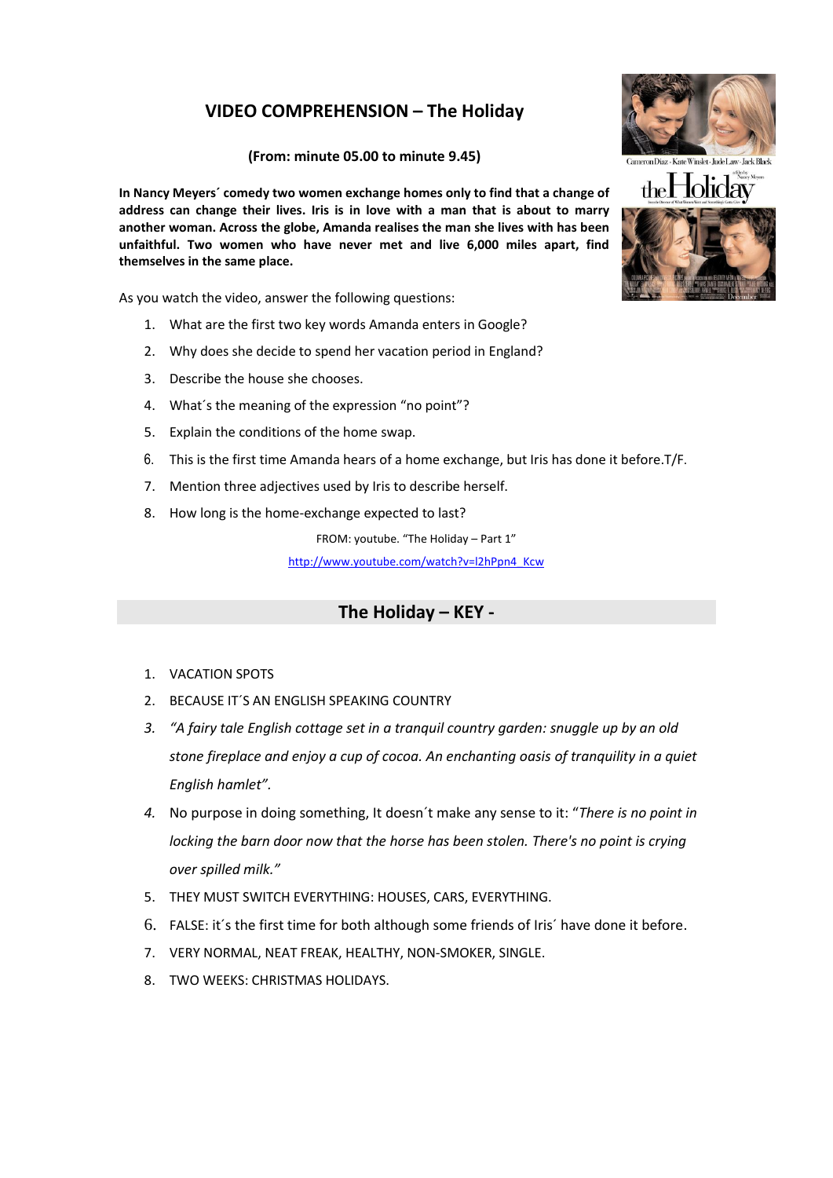## **VIDEO COMPREHENSION – The Holiday**

## **(From: minute 05.00 to minute 9.45)**

**In Nancy Meyers´ comedy two women exchange homes only to find that a change of address can change their lives. Iris is in love with a man that is about to marry another woman. Across the globe, Amanda realises the man she lives with has been unfaithful. Two women who have never met and live 6,000 miles apart, find themselves in the same place.**

As you watch the video, answer the following questions:

- 1. What are the first two key words Amanda enters in Google?
- 2. Why does she decide to spend her vacation period in England?
- 3. Describe the house she chooses.
- 4. What´s the meaning of the expression "no point"?
- 5. Explain the conditions of the home swap.
- 6. This is the first time Amanda hears of a home exchange, but Iris has done it before.T/F.
- 7. Mention three adjectives used by Iris to describe herself.
- 8. How long is the home-exchange expected to last?

FROM: youtube. "The Holiday – Part 1" [http://www.youtube.com/watch?v=l2hPpn4\\_Kcw](http://www.youtube.com/watch?v=l2hPpn4_Kcw)

## **The Holiday – KEY -**

- 1. VACATION SPOTS
- 2. BECAUSE IT´S AN ENGLISH SPEAKING COUNTRY
- *3. "A fairy tale English cottage set in a tranquil country garden: snuggle up by an old stone fireplace and enjoy a cup of cocoa. An enchanting oasis of tranquility in a quiet English hamlet".*
- *4.* No purpose in doing something, It doesn´t make any sense to it: "*There is no point in locking the barn door now that the horse has been stolen. There's no point is crying over spilled milk."*
- 5. THEY MUST SWITCH EVERYTHING: HOUSES, CARS, EVERYTHING.
- 6. FALSE: it´s the first time for both although some friends of Iris´ have done it before.
- 7. VERY NORMAL, NEAT FREAK, HEALTHY, NON-SMOKER, SINGLE.
- 8. TWO WEEKS: CHRISTMAS HOLIDAYS.